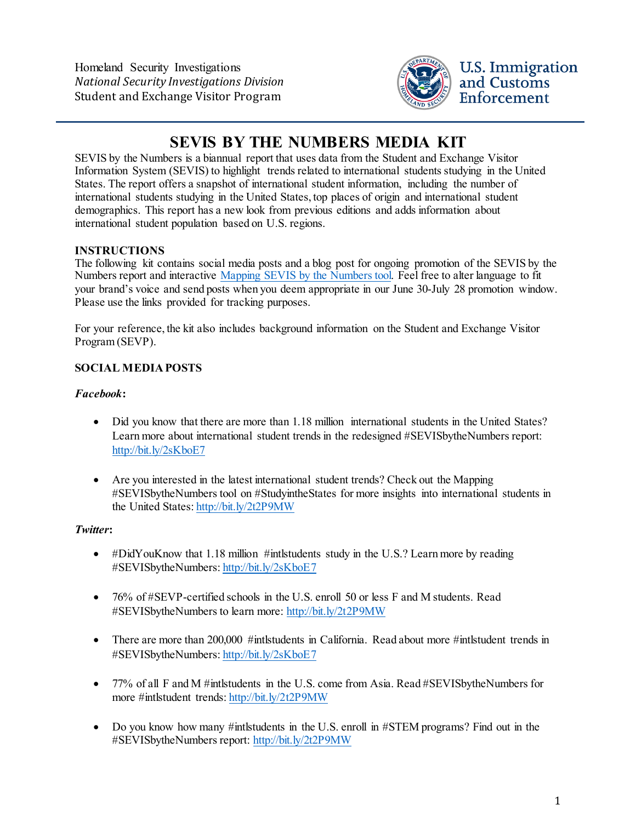Homeland Security Investigations *National Security Investigations Division* Student and Exchange Visitor Program



# **SEVIS BY THE NUMBERS MEDIA KIT**

SEVIS by the Numbers is a biannual report that uses data from the Student and Exchange Visitor Information System (SEVIS) to highlight trends related to international students studying in the United States. The report offers a snapshot of international student information, including the number of international students studying in the United States, top places of origin and international student demographics. This report has a new look from previous editions and adds information about international student population based on U.S. regions.

## **INSTRUCTIONS**

The following kit contains social media posts and a blog post for ongoing promotion of the SEVIS by the Numbers report and interactive [Mapping SEVIS by the Numbers tool.](https://studyinthestates.dhs.gov/sevis-by-the-numbers) Feel free to alter language to fit your brand's voice and send posts when you deem appropriate in our June 30-July 28 promotion window. Please use the links provided for tracking purposes.

For your reference, the kit also includes background information on the Student and Exchange Visitor Program (SEVP).

## **SOCIAL MEDIA POSTS**

## *Facebook***:**

- Did you know that there are more than 1.18 million international students in the United States? Learn more about international student trends in the redesigned #SEVISbytheNumbers report: <http://bit.ly/2sKboE7>
- Are you interested in the latest international student trends? Check out the Mapping #SEVISbytheNumbers tool on #StudyintheStates for more insights into international students in the United States:<http://bit.ly/2t2P9MW>

### *Twitter***:**

- #DidYouKnow that 1.18 million #intlstudents study in the U.S.? Learn more by reading #SEVISbytheNumbers[: http://bit.ly/2sKboE7](http://bit.ly/2sKboE7)
- 76% of #SEVP-certified schools in the U.S. enroll 50 or less F and M students. Read #SEVISbytheNumbers to learn more:<http://bit.ly/2t2P9MW>
- There are more than 200,000 #intlstudents in California. Read about more #intlstudent trends in #SEVISbytheNumbers[: http://bit.ly/2sKboE7](http://bit.ly/2sKboE7)
- 77% of all F and M #intlstudents in the U.S. come from Asia. Read #SEVISbytheNumbers for more #intlstudent trends[: http://bit.ly/2t2P9MW](http://bit.ly/2t2P9MW)
- Do you know how many #intlstudents in the U.S. enroll in #STEM programs? Find out in the #SEVISbytheNumbers report:<http://bit.ly/2t2P9MW>